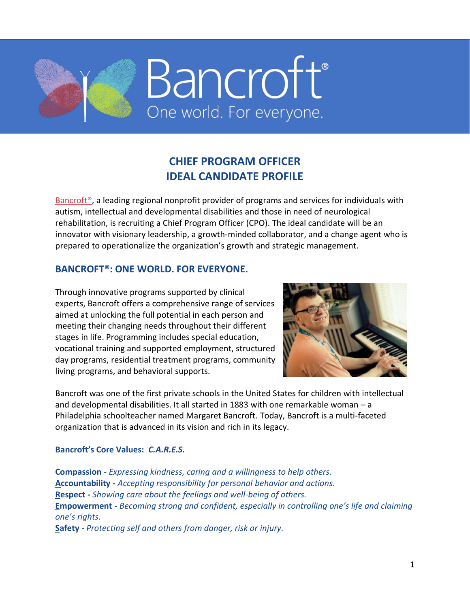

# **CHIEF PROGRAM OFFICER IDEAL CANDIDATE PROFILE**

Bancroft<sup>®</sup>, a leading regional nonprofit provider of programs and services for individuals with autism, intellectual and developmental disabilities and those in need of neurological rehabilitation, is recruiting a Chief Program Officer (CPO). The ideal candidate will be an innovator with visionary leadership, a growth-minded collaborator, and a change agent who is prepared to operationalize the organization's growth and strategic management.

# **BANCROFT®: ONE WORLD. FOR EVERYONE.**

Through innovative programs supported by clinical experts, Bancroft offers a comprehensive range of services aimed at unlocking the full potential in each person and meeting their changing needs throughout their different stages in life. Programming includes special education, vocational training and supported employment, structured day programs, residential treatment programs, community living programs, and behavioral supports.



Bancroft was one of the first private schools in the United States for children with intellectual and developmental disabilities. It all started in 1883 with one remarkable woman – a Philadelphia schoolteacher named Margaret Bancroft. Today, Bancroft is a multi-faceted organization that is advanced in its vision and rich in its legacy.

### **Bancroft's Core Values:** *C.A.R.E.S.*

**Compassion** - *Expressing kindness, caring and a willingness to help others.* **Accountability** *- Accepting responsibility for personal behavior and actions.* **Respect** *- Showing care about the feelings and well-being of others.* **Empowerment** *- Becoming strong and confident, especially in controlling one's life and claiming one's rights.*

**Safety** *- Protecting self and others from danger, risk or injury.*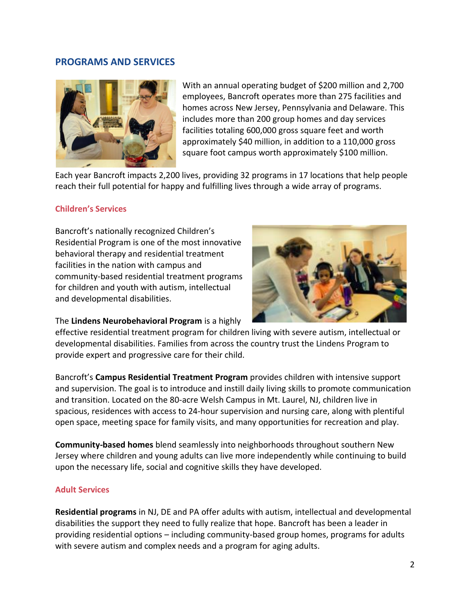#### **PROGRAMS AND SERVICES**



With an annual operating budget of \$200 million and 2,700 employees, Bancroft operates more than 275 facilities and homes across New Jersey, Pennsylvania and Delaware. This includes more than 200 group homes and day services facilities totaling 600,000 gross square feet and worth approximately \$40 million, in addition to a 110,000 gross square foot campus worth approximately \$100 million.

Each year Bancroft impacts 2,200 lives, providing 32 programs in 17 locations that help people reach their full potential for happy and fulfilling lives through a wide array of programs.

#### **Children's Services**

Bancroft's nationally recognized Children's Residential Program is one of the most innovative behavioral therapy and residential treatment facilities in the nation with campus and community-based residential treatment programs for children and youth with autism, intellectual and developmental disabilities.



#### The **Lindens Neurobehavioral Program** is a highly

effective residential treatment program for children living with severe autism, intellectual or developmental disabilities. Families from across the country trust the Lindens Program to provide expert and progressive care for their child.

Bancroft's **Campus Residential Treatment Program** provides children with intensive support and supervision. The goal is to introduce and instill daily living skills to promote communication and transition. Located on the 80-acre Welsh Campus in Mt. Laurel, NJ, children live in spacious, residences with access to 24-hour supervision and nursing care, along with plentiful open space, meeting space for family visits, and many opportunities for recreation and play.

**Community-based homes** blend seamlessly into neighborhoods throughout southern New Jersey where children and young adults can live more independently while continuing to build upon the necessary life, social and cognitive skills they have developed.

#### **Adult Services**

**Residential programs** in NJ, DE and PA offer adults with autism, intellectual and developmental disabilities the support they need to fully realize that hope. Bancroft has been a leader in providing residential options – including community-based group homes, programs for adults with severe autism and complex needs and a program for aging adults.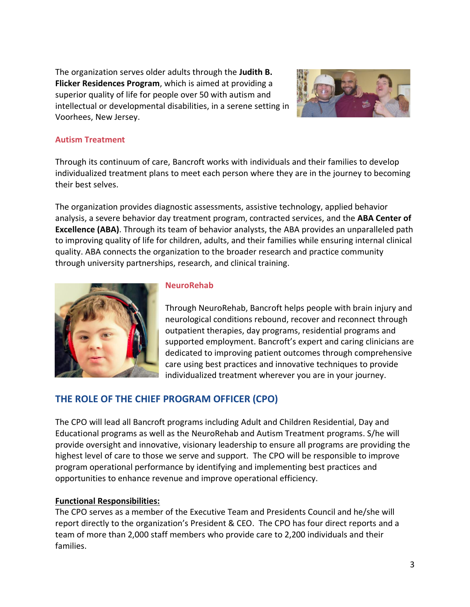The organization serves older adults through the **Judith B. Flicker Residences Program**, which is aimed at providing a superior quality of life for people over 50 with autism and intellectual or developmental disabilities, in a serene setting in Voorhees, New Jersey.



#### **Autism Treatment**

Through its continuum of care, Bancroft works with individuals and their families to develop individualized treatment plans to meet each person where they are in the journey to becoming their best selves.

The organization provides diagnostic assessments, assistive technology, applied behavior analysis, a severe behavior day treatment program, contracted services, and the **ABA Center of Excellence (ABA)**. Through its team of behavior analysts, the ABA provides an unparalleled path to improving quality of life for children, adults, and their families while ensuring internal clinical quality. ABA connects the organization to the broader research and practice community through university partnerships, research, and clinical training.



#### **NeuroRehab**

Through NeuroRehab, Bancroft helps people with brain injury and neurological conditions rebound, recover and reconnect through outpatient therapies, day programs, residential programs and supported employment. Bancroft's expert and caring clinicians are dedicated to improving patient outcomes through comprehensive care using best practices and innovative techniques to provide individualized treatment wherever you are in your journey.

# **THE ROLE OF THE CHIEF PROGRAM OFFICER (CPO)**

The CPO will lead all Bancroft programs including Adult and Children Residential, Day and Educational programs as well as the NeuroRehab and Autism Treatment programs. S/he will provide oversight and innovative, visionary leadership to ensure all programs are providing the highest level of care to those we serve and support. The CPO will be responsible to improve program operational performance by identifying and implementing best practices and opportunities to enhance revenue and improve operational efficiency.

#### **Functional Responsibilities:**

The CPO serves as a member of the Executive Team and Presidents Council and he/she will report directly to the organization's President & CEO. The CPO has four direct reports and a team of more than 2,000 staff members who provide care to 2,200 individuals and their families.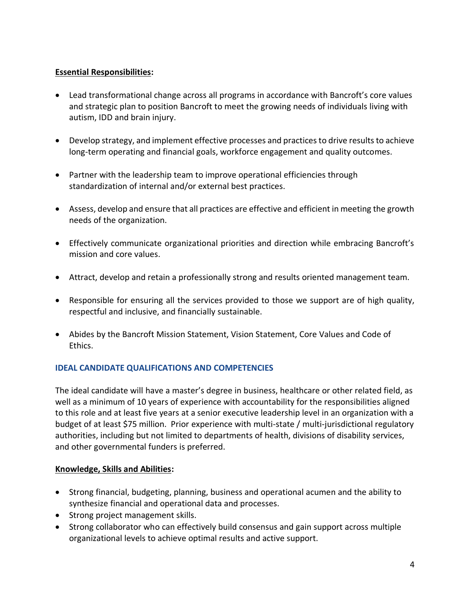### **Essential Responsibilities:**

- Lead transformational change across all programs in accordance with Bancroft's core values and strategic plan to position Bancroft to meet the growing needs of individuals living with autism, IDD and brain injury.
- Develop strategy, and implement effective processes and practices to drive results to achieve long-term operating and financial goals, workforce engagement and quality outcomes.
- Partner with the leadership team to improve operational efficiencies through standardization of internal and/or external best practices.
- Assess, develop and ensure that all practices are effective and efficient in meeting the growth needs of the organization.
- Effectively communicate organizational priorities and direction while embracing Bancroft's mission and core values.
- Attract, develop and retain a professionally strong and results oriented management team.
- Responsible for ensuring all the services provided to those we support are of high quality, respectful and inclusive, and financially sustainable.
- Abides by the Bancroft Mission Statement, Vision Statement, Core Values and Code of Ethics.

# **IDEAL CANDIDATE QUALIFICATIONS AND COMPETENCIES**

The ideal candidate will have a master's degree in business, healthcare or other related field, as well as a minimum of 10 years of experience with accountability for the responsibilities aligned to this role and at least five years at a senior executive leadership level in an organization with a budget of at least \$75 million. Prior experience with multi-state / multi-jurisdictional regulatory authorities, including but not limited to departments of health, divisions of disability services, and other governmental funders is preferred.

### **Knowledge, Skills and Abilities:**

- Strong financial, budgeting, planning, business and operational acumen and the ability to synthesize financial and operational data and processes.
- Strong project management skills.
- Strong collaborator who can effectively build consensus and gain support across multiple organizational levels to achieve optimal results and active support.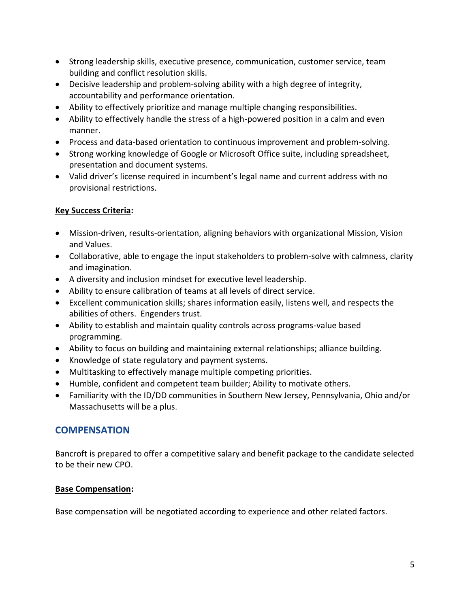- Strong leadership skills, executive presence, communication, customer service, team building and conflict resolution skills.
- Decisive leadership and problem-solving ability with a high degree of integrity, accountability and performance orientation.
- Ability to effectively prioritize and manage multiple changing responsibilities.
- Ability to effectively handle the stress of a high-powered position in a calm and even manner.
- Process and data-based orientation to continuous improvement and problem-solving.
- Strong working knowledge of Google or Microsoft Office suite, including spreadsheet, presentation and document systems.
- Valid driver's license required in incumbent's legal name and current address with no provisional restrictions.

### **Key Success Criteria:**

- Mission-driven, results-orientation, aligning behaviors with organizational Mission, Vision and Values.
- Collaborative, able to engage the input stakeholders to problem-solve with calmness, clarity and imagination.
- A diversity and inclusion mindset for executive level leadership.
- Ability to ensure calibration of teams at all levels of direct service.
- Excellent communication skills; shares information easily, listens well, and respects the abilities of others. Engenders trust.
- Ability to establish and maintain quality controls across programs-value based programming.
- Ability to focus on building and maintaining external relationships; alliance building.
- Knowledge of state regulatory and payment systems.
- Multitasking to effectively manage multiple competing priorities.
- Humble, confident and competent team builder; Ability to motivate others.
- Familiarity with the ID/DD communities in Southern New Jersey, Pennsylvania, Ohio and/or Massachusetts will be a plus.

# **COMPENSATION**

Bancroft is prepared to offer a competitive salary and benefit package to the candidate selected to be their new CPO.

### **Base Compensation:**

Base compensation will be negotiated according to experience and other related factors.